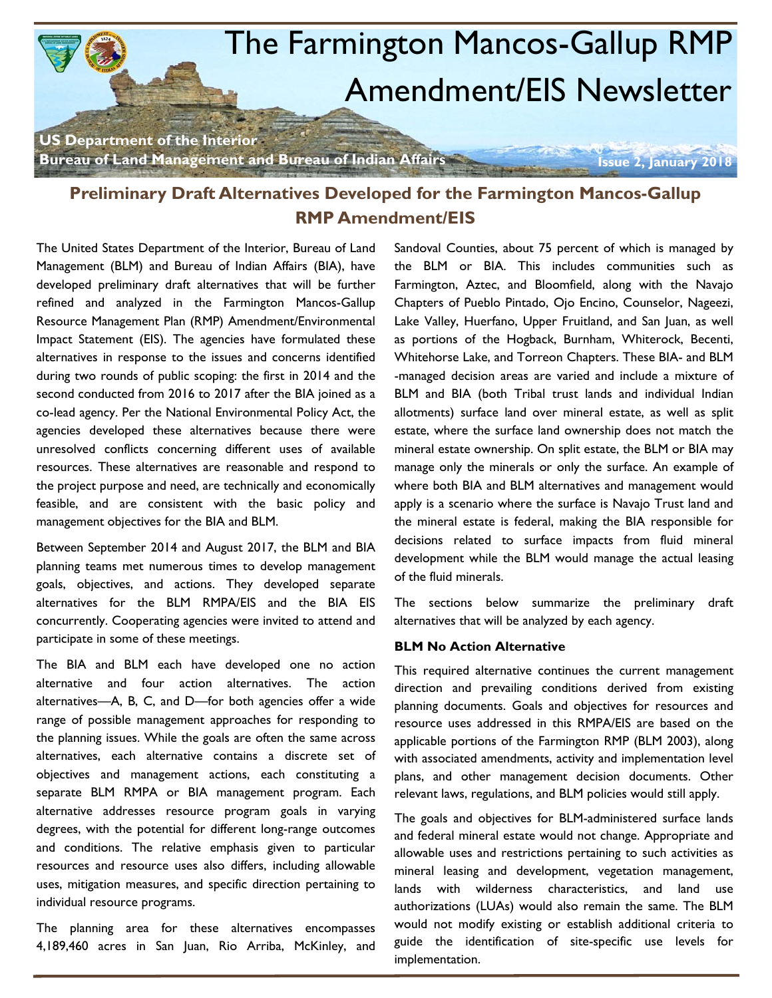

# **Preliminary Draft Alternatives Developed for the Farmington Mancos-Gallup RMP Amendment/EIS**

The United States Department of the Interior, Bureau of Land Management (BLM) and Bureau of Indian Affairs (BIA), have developed preliminary draft alternatives that will be further refined and analyzed in the Farmington Mancos-Gallup Resource Management Plan (RMP) Amendment/Environmental Impact Statement (EIS). The agencies have formulated these alternatives in response to the issues and concerns identified during two rounds of public scoping: the first in 2014 and the second conducted from 2016 to 2017 after the BIA joined as a co-lead agency. Per the National Environmental Policy Act, the agencies developed these alternatives because there were unresolved conflicts concerning different uses of available resources. These alternatives are reasonable and respond to the project purpose and need, are technically and economically feasible, and are consistent with the basic policy and management objectives for the BIA and BLM.

Between September 2014 and August 2017, the BLM and BIA planning teams met numerous times to develop management goals, objectives, and actions. They developed separate alternatives for the BLM RMPA/EIS and the BIA EIS concurrently. Cooperating agencies were invited to attend and participate in some of these meetings.

The BIA and BLM each have developed one no action alternative and four action alternatives. The action alternatives—A, B, C, and D—for both agencies offer a wide range of possible management approaches for responding to the planning issues. While the goals are often the same across alternatives, each alternative contains a discrete set of objectives and management actions, each constituting a separate BLM RMPA or BIA management program. Each alternative addresses resource program goals in varying degrees, with the potential for different long-range outcomes and conditions. The relative emphasis given to particular resources and resource uses also differs, including allowable uses, mitigation measures, and specific direction pertaining to individual resource programs.

The planning area for these alternatives encompasses 4,189,460 acres in San Juan, Rio Arriba, McKinley, and Sandoval Counties, about 75 percent of which is managed by the BLM or BIA. This includes communities such as Farmington, Aztec, and Bloomfield, along with the Navajo Chapters of Pueblo Pintado, Ojo Encino, Counselor, Nageezi, Lake Valley, Huerfano, Upper Fruitland, and San Juan, as well as portions of the Hogback, Burnham, Whiterock, Becenti, Whitehorse Lake, and Torreon Chapters. These BIA- and BLM -managed decision areas are varied and include a mixture of BLM and BIA (both Tribal trust lands and individual Indian allotments) surface land over mineral estate, as well as split estate, where the surface land ownership does not match the mineral estate ownership. On split estate, the BLM or BIA may manage only the minerals or only the surface. An example of where both BIA and BLM alternatives and management would apply is a scenario where the surface is Navajo Trust land and the mineral estate is federal, making the BIA responsible for decisions related to surface impacts from fluid mineral development while the BLM would manage the actual leasing of the fluid minerals.

The sections below summarize the preliminary draft alternatives that will be analyzed by each agency.

## **BLM No Action Alternative**

This required alternative continues the current management direction and prevailing conditions derived from existing planning documents. Goals and objectives for resources and resource uses addressed in this RMPA/EIS are based on the applicable portions of the Farmington RMP (BLM 2003), along with associated amendments, activity and implementation level plans, and other management decision documents. Other relevant laws, regulations, and BLM policies would still apply.

The goals and objectives for BLM-administered surface lands and federal mineral estate would not change. Appropriate and allowable uses and restrictions pertaining to such activities as mineral leasing and development, vegetation management, lands with wilderness characteristics, and land use authorizations (LUAs) would also remain the same. The BLM would not modify existing or establish additional criteria to guide the identification of site-specific use levels for implementation.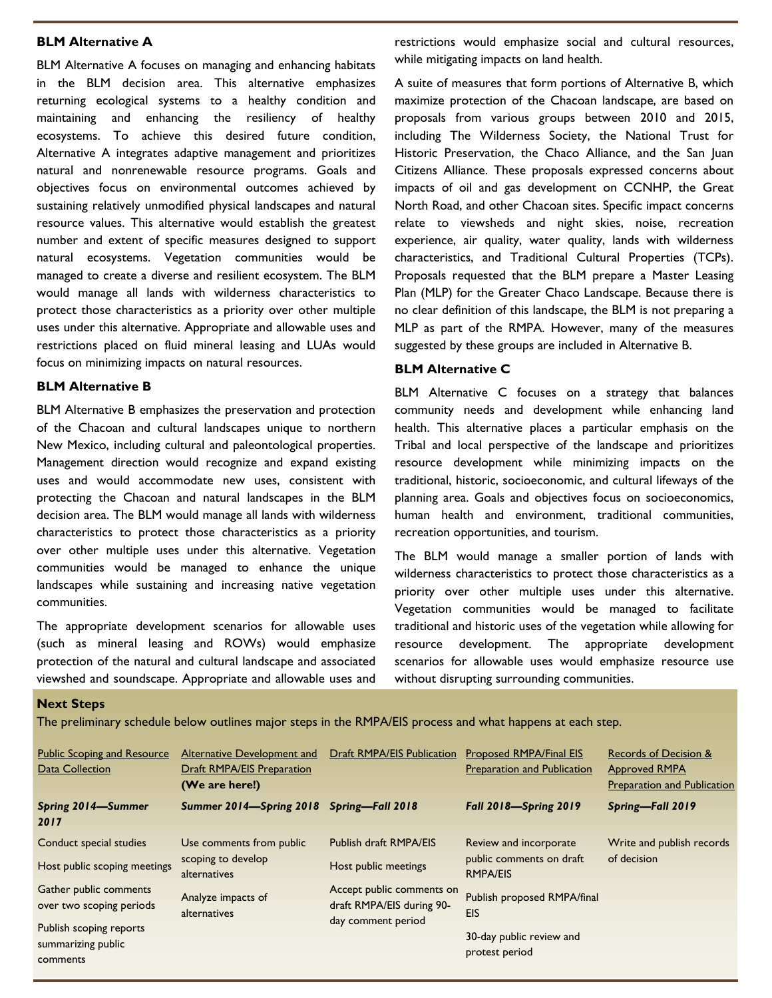## **BLM Alternative A**

BLM Alternative A focuses on managing and enhancing habitats in the BLM decision area. This alternative emphasizes returning ecological systems to a healthy condition and maintaining and enhancing the resiliency of healthy ecosystems. To achieve this desired future condition, Alternative A integrates adaptive management and prioritizes natural and nonrenewable resource programs. Goals and objectives focus on environmental outcomes achieved by sustaining relatively unmodified physical landscapes and natural resource values. This alternative would establish the greatest number and extent of specific measures designed to support natural ecosystems. Vegetation communities would be managed to create a diverse and resilient ecosystem. The BLM would manage all lands with wilderness characteristics to protect those characteristics as a priority over other multiple uses under this alternative. Appropriate and allowable uses and restrictions placed on fluid mineral leasing and LUAs would focus on minimizing impacts on natural resources.

#### **BLM Alternative B**

BLM Alternative B emphasizes the preservation and protection of the Chacoan and cultural landscapes unique to northern New Mexico, including cultural and paleontological properties. Management direction would recognize and expand existing uses and would accommodate new uses, consistent with protecting the Chacoan and natural landscapes in the BLM decision area. The BLM would manage all lands with wilderness characteristics to protect those characteristics as a priority over other multiple uses under this alternative. Vegetation communities would be managed to enhance the unique landscapes while sustaining and increasing native vegetation communities.

The appropriate development scenarios for allowable uses (such as mineral leasing and ROWs) would emphasize protection of the natural and cultural landscape and associated viewshed and soundscape. Appropriate and allowable uses and restrictions would emphasize social and cultural resources, while mitigating impacts on land health.

A suite of measures that form portions of Alternative B, which maximize protection of the Chacoan landscape, are based on proposals from various groups between 2010 and 2015, including The Wilderness Society, the National Trust for Historic Preservation, the Chaco Alliance, and the San Juan Citizens Alliance. These proposals expressed concerns about impacts of oil and gas development on CCNHP, the Great North Road, and other Chacoan sites. Specific impact concerns relate to viewsheds and night skies, noise, recreation experience, air quality, water quality, lands with wilderness characteristics, and Traditional Cultural Properties (TCPs). Proposals requested that the BLM prepare a Master Leasing Plan (MLP) for the Greater Chaco Landscape. Because there is no clear definition of this landscape, the BLM is not preparing a MLP as part of the RMPA. However, many of the measures suggested by these groups are included in Alternative B.

#### **BLM Alternative C**

BLM Alternative C focuses on a strategy that balances community needs and development while enhancing land health. This alternative places a particular emphasis on the Tribal and local perspective of the landscape and prioritizes resource development while minimizing impacts on the traditional, historic, socioeconomic, and cultural lifeways of the planning area. Goals and objectives focus on socioeconomics, human health and environment, traditional communities, recreation opportunities, and tourism.

The BLM would manage a smaller portion of lands with wilderness characteristics to protect those characteristics as a priority over other multiple uses under this alternative. Vegetation communities would be managed to facilitate traditional and historic uses of the vegetation while allowing for resource development. The appropriate development scenarios for allowable uses would emphasize resource use without disrupting surrounding communities.

#### **Next Steps**

The preliminary schedule below outlines major steps in the RMPA/EIS process and what happens at each step.

| <b>Public Scoping and Resource</b><br>Data Collection                                                           | <b>Alternative Development and</b><br><b>Draft RMPA/EIS Preparation</b><br>(We are here!) | Draft RMPA/EIS Publication                                                   | <b>Proposed RMPA/Final EIS</b><br><b>Preparation and Publication</b>                    | Records of Decision &<br><b>Approved RMPA</b><br><b>Preparation and Publication</b> |
|-----------------------------------------------------------------------------------------------------------------|-------------------------------------------------------------------------------------------|------------------------------------------------------------------------------|-----------------------------------------------------------------------------------------|-------------------------------------------------------------------------------------|
| Spring 2014-Summer<br>2017                                                                                      | Summer 2014-Spring 2018 Spring-Fall 2018                                                  |                                                                              | <b>Fall 2018-Spring 2019</b>                                                            | Spring-Fall 2019                                                                    |
| Conduct special studies<br>Host public scoping meetings                                                         | Use comments from public<br>scoping to develop<br>alternatives                            | Publish draft RMPA/EIS<br>Host public meetings                               | Review and incorporate<br>public comments on draft<br><b>RMPA/EIS</b>                   | Write and publish records<br>of decision                                            |
| Gather public comments<br>over two scoping periods<br>Publish scoping reports<br>summarizing public<br>comments | Analyze impacts of<br>alternatives                                                        | Accept public comments on<br>draft RMPA/EIS during 90-<br>day comment period | Publish proposed RMPA/final<br><b>EIS</b><br>30-day public review and<br>protest period |                                                                                     |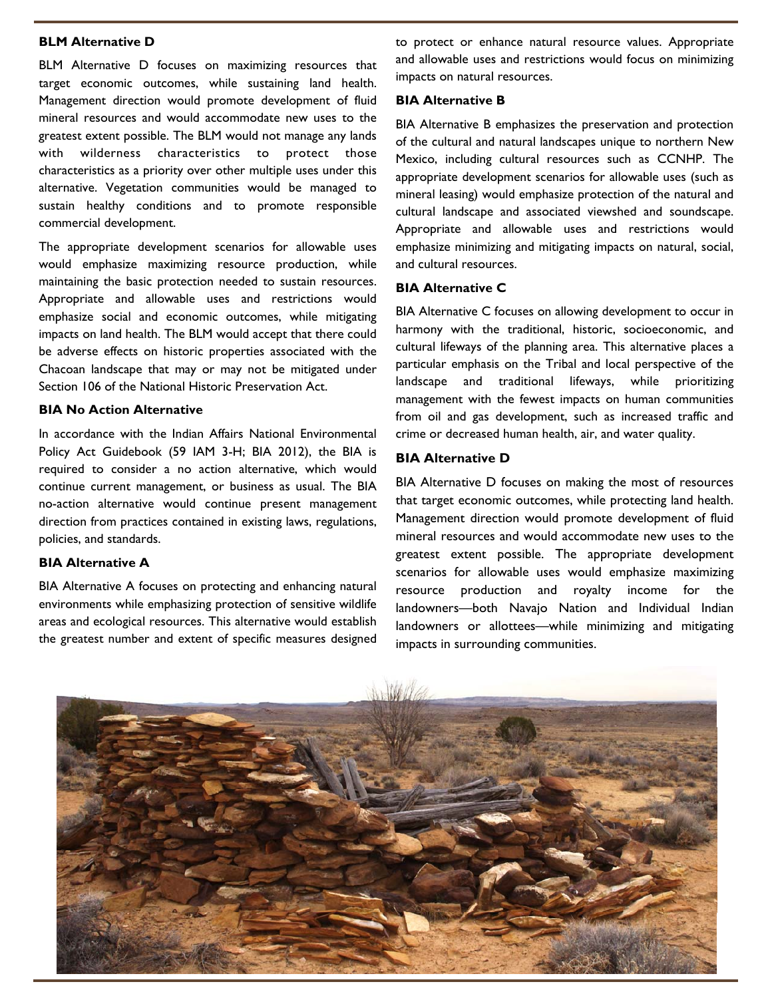# **BLM Alternative D**

BLM Alternative D focuses on maximizing resources that target economic outcomes, while sustaining land health. Management direction would promote development of fluid mineral resources and would accommodate new uses to the greatest extent possible. The BLM would not manage any lands with wilderness characteristics to protect those characteristics as a priority over other multiple uses under this alternative. Vegetation communities would be managed to sustain healthy conditions and to promote responsible commercial development.

The appropriate development scenarios for allowable uses would emphasize maximizing resource production, while maintaining the basic protection needed to sustain resources. Appropriate and allowable uses and restrictions would emphasize social and economic outcomes, while mitigating impacts on land health. The BLM would accept that there could be adverse effects on historic properties associated with the Chacoan landscape that may or may not be mitigated under Section 106 of the National Historic Preservation Act.

#### **BIA No Action Alternative**

In accordance with the Indian Affairs National Environmental Policy Act Guidebook (59 IAM 3-H; BIA 2012), the BIA is required to consider a no action alternative, which would continue current management, or business as usual. The BIA no-action alternative would continue present management direction from practices contained in existing laws, regulations, policies, and standards.

#### **BIA Alternative A**

BIA Alternative A focuses on protecting and enhancing natural environments while emphasizing protection of sensitive wildlife areas and ecological resources. This alternative would establish the greatest number and extent of specific measures designed to protect or enhance natural resource values. Appropriate and allowable uses and restrictions would focus on minimizing impacts on natural resources.

#### **BIA Alternative B**

BIA Alternative B emphasizes the preservation and protection of the cultural and natural landscapes unique to northern New Mexico, including cultural resources such as CCNHP. The appropriate development scenarios for allowable uses (such as mineral leasing) would emphasize protection of the natural and cultural landscape and associated viewshed and soundscape. Appropriate and allowable uses and restrictions would emphasize minimizing and mitigating impacts on natural, social, and cultural resources.

## **BIA Alternative C**

BIA Alternative C focuses on allowing development to occur in harmony with the traditional, historic, socioeconomic, and cultural lifeways of the planning area. This alternative places a particular emphasis on the Tribal and local perspective of the landscape and traditional lifeways, while prioritizing management with the fewest impacts on human communities from oil and gas development, such as increased traffic and crime or decreased human health, air, and water quality.

#### **BIA Alternative D**

BIA Alternative D focuses on making the most of resources that target economic outcomes, while protecting land health. Management direction would promote development of fluid mineral resources and would accommodate new uses to the greatest extent possible. The appropriate development scenarios for allowable uses would emphasize maximizing resource production and royalty income for the landowners—both Navajo Nation and Individual Indian landowners or allottees—while minimizing and mitigating impacts in surrounding communities.